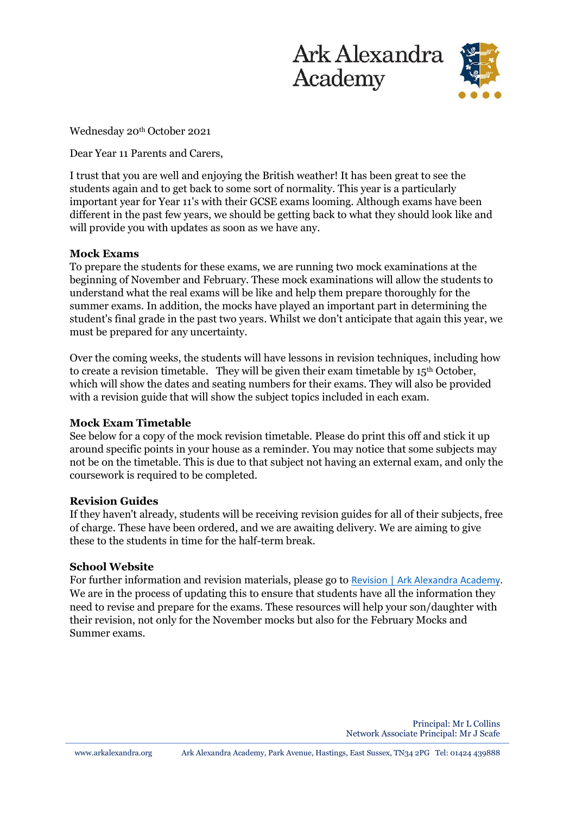



Wednesday 20<sup>th</sup> October 2021

Dear Year 11 Parents and Carers,

I trust that you are well and enjoying the British weather! It has been great to see the students again and to get back to some sort of normality. This year is a particularly important year for Year 11's with their GCSE exams looming. Although exams have been different in the past few years, we should be getting back to what they should look like and will provide you with updates as soon as we have any.

#### **Mock Exams**

To prepare the students for these exams, we are running two mock examinations at the beginning of November and February. These mock examinations will allow the students to understand what the real exams will be like and help them prepare thoroughly for the summer exams. In addition, the mocks have played an important part in determining the student's final grade in the past two years. Whilst we don't anticipate that again this year, we must be prepared for any uncertainty.

Over the coming weeks, the students will have lessons in revision techniques, including how to create a revision timetable. They will be given their exam timetable by 15<sup>th</sup> October, which will show the dates and seating numbers for their exams. They will also be provided with a revision guide that will show the subject topics included in each exam.

#### **Mock Exam Timetable**

See below for a copy of the mock revision timetable. Please do print this off and stick it up around specific points in your house as a reminder. You may notice that some subjects may not be on the timetable. This is due to that subject not having an external exam, and only the coursework is required to be completed.

#### **Revision Guides**

If they haven't already, students will be receiving revision guides for all of their subjects, free of charge. These have been ordered, and we are awaiting delivery. We are aiming to give these to the students in time for the half-term break.

#### **School Website**

For further information and revision materials, please go to [Revision | Ark Alexandra Academy.](https://arkalexandra.org/teaching-learning/revision) We are in the process of updating this to ensure that students have all the information they need to revise and prepare for the exams. These resources will help your son/daughter with their revision, not only for the November mocks but also for the February Mocks and Summer exams.

> Principal: Mr L Collins Network Associate Principal: Mr J Scafe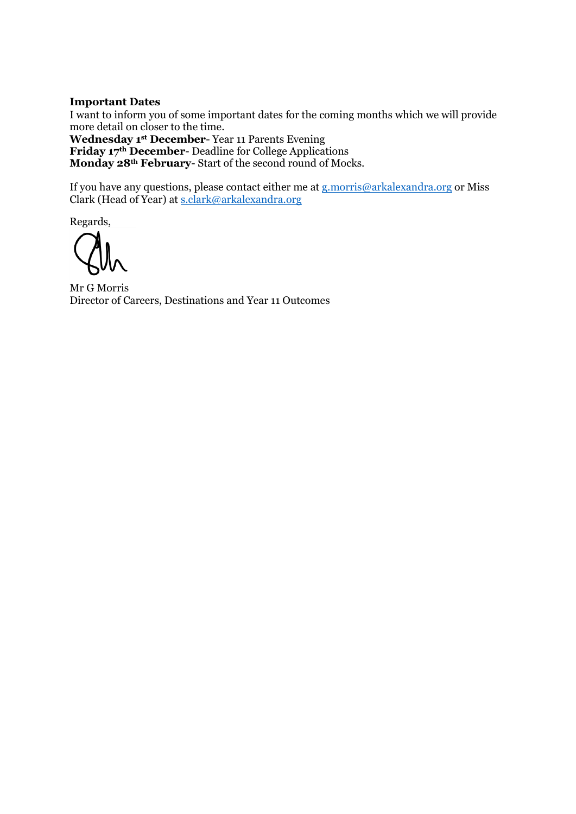#### **Important Dates**

I want to inform you of some important dates for the coming months which we will provide more detail on closer to the time.

**Wednesday 1st December**- Year 11 Parents Evening **Friday 17th December**- Deadline for College Applications **Monday 28th February**- Start of the second round of Mocks.

If you have any questions, please contact either me at **g**.morris@arkalexandra.org or Miss Clark (Head of Year) at [s.clark@arkalexandra.org](mailto:s.clark@arkalexandra.org)

Regards,

Mr G Morris Director of Careers, Destinations and Year 11 Outcomes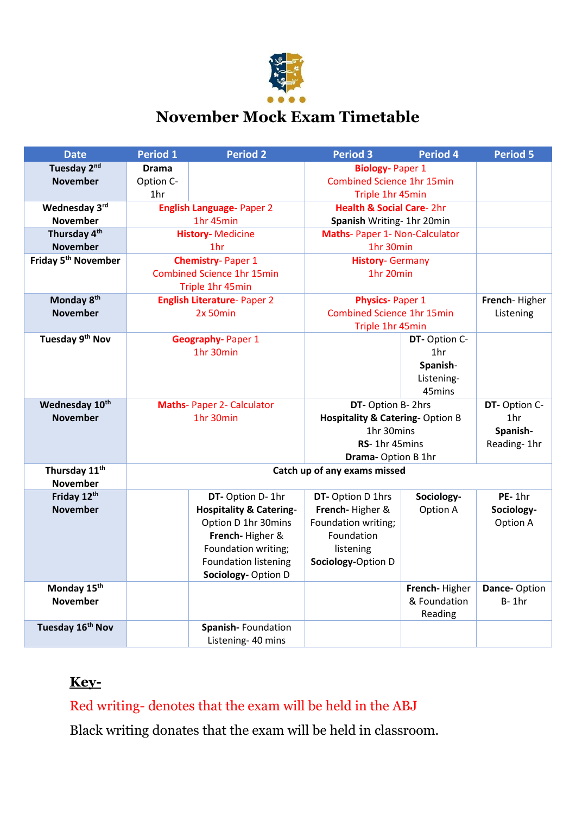

# **November Mock Exam Timetable**

| <b>Date</b>                     | <b>Period 1</b>                                    | <b>Period 2</b>                    | <b>Period 3</b>                                          | <b>Period 4</b> | <b>Period 5</b> |
|---------------------------------|----------------------------------------------------|------------------------------------|----------------------------------------------------------|-----------------|-----------------|
| Tuesday 2nd                     | <b>Drama</b>                                       |                                    | <b>Biology-Paper 1</b>                                   |                 |                 |
| <b>November</b>                 | Option C-                                          |                                    | <b>Combined Science 1hr 15min</b>                        |                 |                 |
|                                 | 1hr                                                |                                    | Triple 1hr 45min                                         |                 |                 |
| Wednesday 3rd                   | <b>English Language-Paper 2</b>                    |                                    | <b>Health &amp; Social Care-2hr</b>                      |                 |                 |
| <b>November</b>                 | 1hr 45min                                          |                                    | Spanish Writing- 1hr 20min                               |                 |                 |
| Thursday 4th                    | <b>History-Medicine</b>                            |                                    | Maths- Paper 1- Non-Calculator                           |                 |                 |
| <b>November</b>                 | 1 <sub>hr</sub>                                    |                                    | 1hr 30min                                                |                 |                 |
| Friday 5 <sup>th</sup> November | <b>Chemistry-Paper 1</b>                           |                                    | <b>History- Germany</b>                                  |                 |                 |
|                                 | <b>Combined Science 1hr 15min</b>                  |                                    | 1hr 20min                                                |                 |                 |
|                                 |                                                    | Triple 1hr 45min                   |                                                          |                 |                 |
| Monday 8 <sup>th</sup>          | <b>English Literature-Paper 2</b>                  |                                    | <b>Physics-Paper 1</b>                                   |                 | French-Higher   |
| <b>November</b>                 | 2x 50min                                           |                                    | <b>Combined Science 1hr 15min</b>                        |                 | Listening       |
|                                 |                                                    |                                    | Triple 1hr 45min                                         |                 |                 |
| Tuesday 9th Nov                 |                                                    | <b>Geography-Paper 1</b>           |                                                          | DT-Option C-    |                 |
|                                 |                                                    | 1hr 30min                          |                                                          | 1hr             |                 |
|                                 |                                                    |                                    |                                                          | Spanish-        |                 |
|                                 |                                                    |                                    |                                                          | Listening-      |                 |
|                                 |                                                    |                                    |                                                          | 45mins          |                 |
| Wednesday 10th                  | <b>Maths-Paper 2- Calculator</b>                   |                                    | DT- Option B- 2hrs                                       |                 | DT-Option C-    |
| <b>November</b>                 | 1hr 30min                                          |                                    | <b>Hospitality &amp; Catering-Option B</b><br>1hr 30mins |                 | 1hr             |
|                                 |                                                    |                                    | RS-1hr 45mins                                            |                 | Spanish-        |
|                                 |                                                    |                                    |                                                          |                 | Reading-1hr     |
| Thursday 11 <sup>th</sup>       | Drama-Option B 1hr<br>Catch up of any exams missed |                                    |                                                          |                 |                 |
| <b>November</b>                 |                                                    |                                    |                                                          |                 |                 |
| Friday 12th                     |                                                    | DT- Option D- 1hr                  | DT- Option D 1hrs                                        | Sociology-      | PE-1hr          |
| <b>November</b>                 |                                                    | <b>Hospitality &amp; Catering-</b> | French-Higher &                                          | Option A        | Sociology-      |
|                                 |                                                    | Option D 1hr 30mins                | Foundation writing;                                      |                 | Option A        |
|                                 |                                                    | French-Higher &                    | Foundation                                               |                 |                 |
|                                 |                                                    | Foundation writing;                | listening                                                |                 |                 |
|                                 |                                                    | <b>Foundation listening</b>        | Sociology-Option D                                       |                 |                 |
|                                 |                                                    | Sociology-Option D                 |                                                          |                 |                 |
| Monday 15th                     |                                                    |                                    |                                                          | French-Higher   | Dance-Option    |
| <b>November</b>                 |                                                    |                                    |                                                          | & Foundation    | $B-1hr$         |
|                                 |                                                    |                                    |                                                          | Reading         |                 |
| Tuesday 16 <sup>th</sup> Nov    |                                                    | Spanish-Foundation                 |                                                          |                 |                 |
|                                 |                                                    | Listening- 40 mins                 |                                                          |                 |                 |

# **Key-**

# Red writing- denotes that the exam will be held in the ABJ

Black writing donates that the exam will be held in classroom.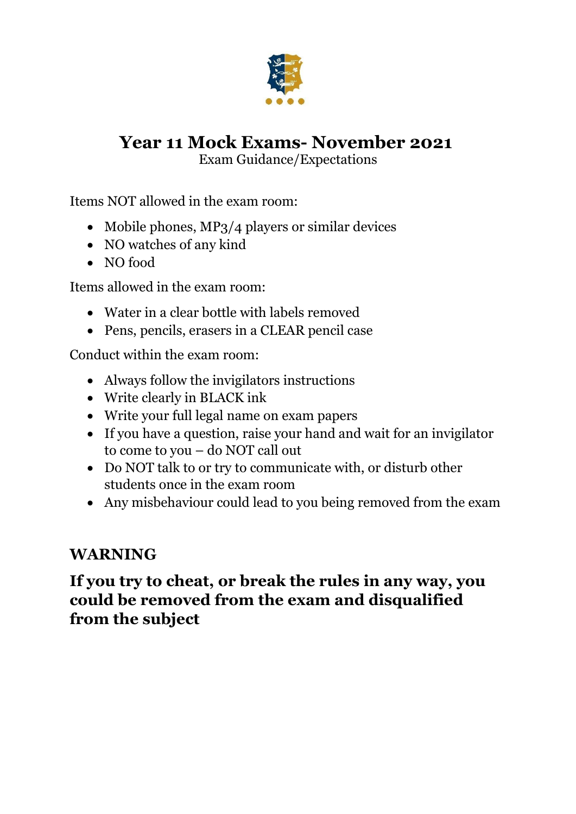

# **Year 11 Mock Exams- November 2021**

Exam Guidance/Expectations

Items NOT allowed in the exam room:

- Mobile phones, MP3/4 players or similar devices
- NO watches of any kind
- NO food

Items allowed in the exam room:

- Water in a clear bottle with labels removed
- Pens, pencils, erasers in a CLEAR pencil case

Conduct within the exam room:

- Always follow the invigilators instructions
- Write clearly in BLACK ink
- Write your full legal name on exam papers
- If you have a question, raise your hand and wait for an invigilator to come to you – do NOT call out
- Do NOT talk to or try to communicate with, or disturb other students once in the exam room
- Any misbehaviour could lead to you being removed from the exam

# **WARNING**

**If you try to cheat, or break the rules in any way, you could be removed from the exam and disqualified from the subject**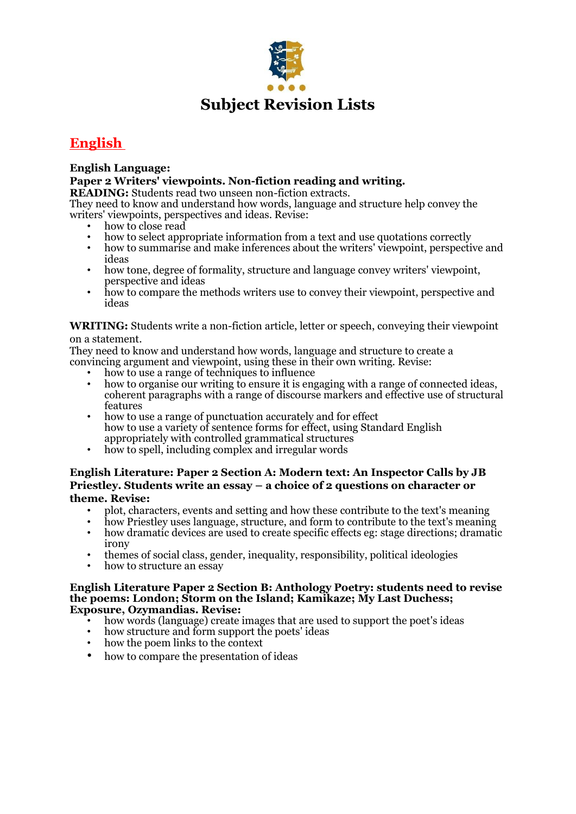

### **English**

### **English Language:**

#### **Paper 2 Writers' viewpoints. Non-fiction reading and writing.**

**READING:** Students read two unseen non-fiction extracts.

They need to know and understand how words, language and structure help convey the writers' viewpoints, perspectives and ideas. Revise:

- how to close read
- how to select appropriate information from a text and use quotations correctly
- how to summarise and make inferences about the writers' viewpoint, perspective and ideas
- how tone, degree of formality, structure and language convey writers' viewpoint, perspective and ideas
- how to compare the methods writers use to convey their viewpoint, perspective and ideas

#### **WRITING:** Students write a non-fiction article, letter or speech, conveying their viewpoint on a statement.

They need to know and understand how words, language and structure to create a convincing argument and viewpoint, using these in their own writing. Revise:

- how to use a range of techniques to influence
- how to organise our writing to ensure it is engaging with a range of connected ideas, coherent paragraphs with a range of discourse markers and effective use of structural features
- how to use a range of punctuation accurately and for effect how to use a variety of sentence forms for effect, using Standard English appropriately with controlled grammatical structures
- how to spell, including complex and irregular words

### **English Literature: Paper 2 Section A: Modern text: An Inspector Calls by JB Priestley. Students write an essay – a choice of 2 questions on character or theme. Revise:**

- plot, characters, events and setting and how these contribute to the text's meaning
- how Priestley uses language, structure, and form to contribute to the text's meaning
- how dramatic devices are used to create specific effects eg: stage directions; dramatic irony
- themes of social class, gender, inequality, responsibility, political ideologies
- how to structure an essay

#### **English Literature Paper 2 Section B: Anthology Poetry: students need to revise the poems: London; Storm on the Island; Kamikaze; My Last Duchess; Exposure, Ozymandias. Revise:**

- how words (language) create images that are used to support the poet's ideas
- how structure and form support the poets' ideas
- how the poem links to the context
- how to compare the presentation of ideas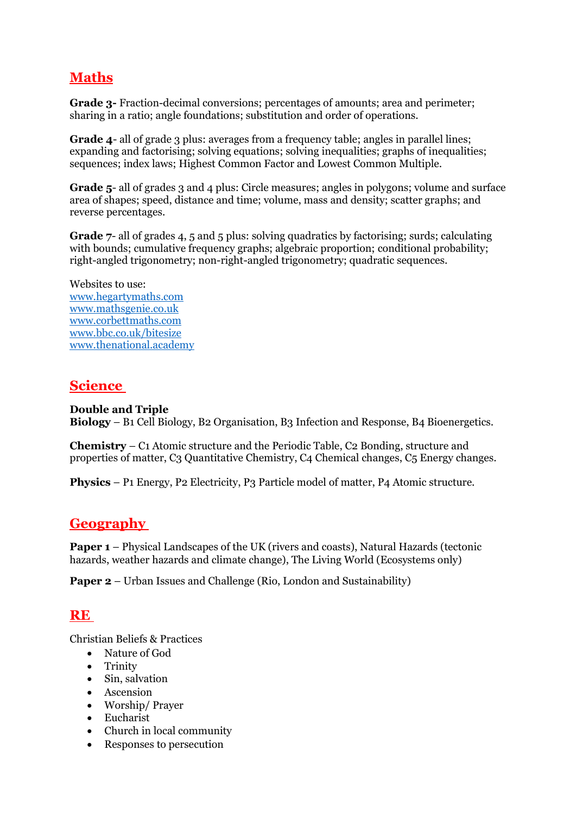# **Maths**

**Grade 3-** Fraction-decimal conversions; percentages of amounts; area and perimeter; sharing in a ratio; angle foundations; substitution and order of operations.

**Grade 4**- all of grade 3 plus: averages from a frequency table; angles in parallel lines; expanding and factorising; solving equations; solving inequalities; graphs of inequalities; sequences; index laws; Highest Common Factor and Lowest Common Multiple.

**Grade 5**- all of grades 3 and 4 plus: Circle measures; angles in polygons; volume and surface area of shapes; speed, distance and time; volume, mass and density; scatter graphs; and reverse percentages.

**Grade 7-** all of grades 4, 5 and 5 plus: solving quadratics by factorising; surds; calculating with bounds; cumulative frequency graphs; algebraic proportion; conditional probability; right-angled trigonometry; non-right-angled trigonometry; quadratic sequences.

Websites to use: [www.hegartymaths.com](http://www.hegartymaths.com/) [www.mathsgenie.co.uk](http://www.mathsgenie.co.uk/) [www.corbettmaths.com](http://www.corbettmaths.com/) [www.bbc.co.uk/bitesize](http://www.bbc.co.uk/bitesize) [www.thenational.academy](http://www.thenational.academy/)

### **Science**

### **Double and Triple**

**Biology** – B1 Cell Biology, B2 Organisation, B3 Infection and Response, B4 Bioenergetics.

**Chemistry** – C1 Atomic structure and the Periodic Table, C2 Bonding, structure and properties of matter, C3 Quantitative Chemistry, C4 Chemical changes, C5 Energy changes.

**Physics** – P1 Energy, P2 Electricity, P3 Particle model of matter, P4 Atomic structure.

### **Geography**

**Paper 1** – Physical Landscapes of the UK (rivers and coasts), Natural Hazards (tectonic hazards, weather hazards and climate change), The Living World (Ecosystems only)

**Paper 2** – Urban Issues and Challenge (Rio, London and Sustainability)

### **RE**

Christian Beliefs & Practices

- Nature of God
- Trinity
- Sin, salvation
- Ascension
- Worship/ Prayer
- Eucharist
- Church in local community
- Responses to persecution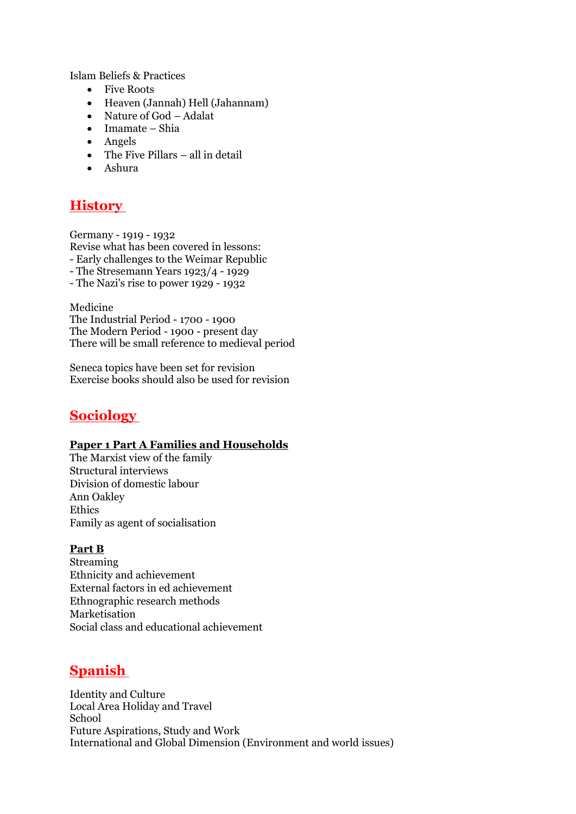Islam Beliefs & Practices

- Five Roots
- Heaven (Jannah) Hell (Jahannam)
- Nature of God Adalat
- Imamate Shia
- Angels
- The Five Pillars all in detail
- Ashura

### **History**

Germany - 1919 - 1932 Revise what has been covered in lessons: - Early challenges to the Weimar Republic - The Stresemann Years 1923/4 - 1929 - The Nazi's rise to power 1929 - 1932

Medicine The Industrial Period - 1700 - 1900 The Modern Period - 1900 - present day There will be small reference to medieval period

Seneca topics have been set for revision Exercise books should also be used for revision

### **Sociology**

#### **Paper 1 Part A Families and Households**

The Marxist view of the family Structural interviews Division of domestic labour Ann Oakley Ethics Family as agent of socialisation

#### **Part B**

**Streaming** Ethnicity and achievement External factors in ed achievement Ethnographic research methods Marketisation Social class and educational achievement

### **Spanish**

Identity and Culture Local Area Holiday and Travel School Future Aspirations, Study and Work International and Global Dimension (Environment and world issues)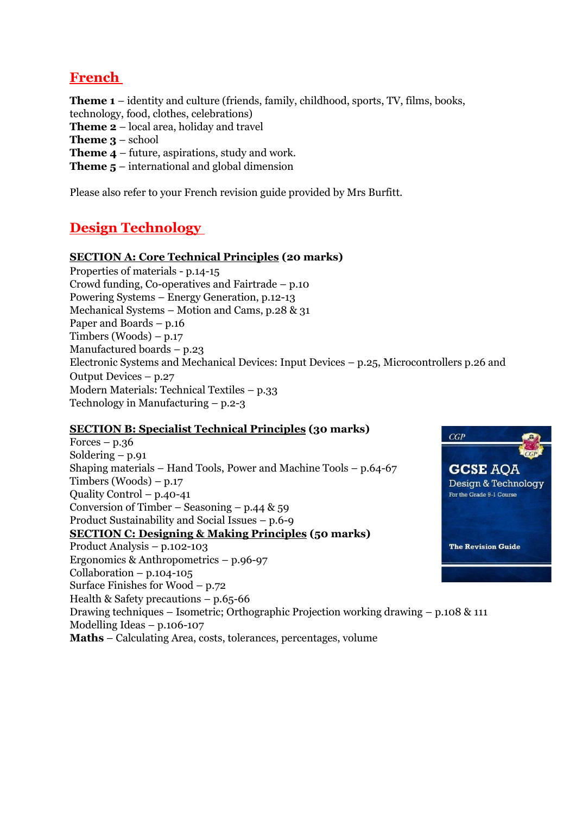### **French**

**Theme 1** – identity and culture (friends, family, childhood, sports, TV, films, books,

- technology, food, clothes, celebrations)
- **Theme 2** local area, holiday and travel
- **Theme 3** school
- **Theme 4** future, aspirations, study and work.
- **Theme 5** international and global dimension

Please also refer to your French revision guide provided by Mrs Burfitt.

### **Design Technology**

### **SECTION A: Core Technical Principles (20 marks)**

Properties of materials - p.14-15 Crowd funding, Co-operatives and Fairtrade – p.10 Powering Systems – Energy Generation, p.12-13 Mechanical Systems – Motion and Cams, p.28 & 31 Paper and Boards – p.16 Timbers (Woods) – p.17 Manufactured boards – p.23 Electronic Systems and Mechanical Devices: Input Devices – p.25, Microcontrollers p.26 and Output Devices – p.27 Modern Materials: Technical Textiles – p.33 Technology in Manufacturing – p.2-3

### **SECTION B: Specialist Technical Principles (30 marks)**

 $CGP$ Forces  $-$  p.36 Soldering  $- p.91$ Shaping materials – Hand Tools, Power and Machine Tools – p.64-67 **GCSE AOA** Timbers (Woods) – p.17 Design & Technology Quality Control – p.40-41 For the Grade 9-1 Course Conversion of Timber – Seasoning – p.44  $\&$  59 Product Sustainability and Social Issues – p.6-9 **SECTION C: Designing & Making Principles (50 marks)** Product Analysis – p.102-103 **The Revision Guide** Ergonomics & Anthropometrics – p.96-97 Collaboration – p.104-105 Surface Finishes for Wood – p.72 Health & Safety precautions – p.65-66 Drawing techniques – Isometric; Orthographic Projection working drawing – p.108 & 111 Modelling Ideas – p.106-107 **Maths** – Calculating Area, costs, tolerances, percentages, volume